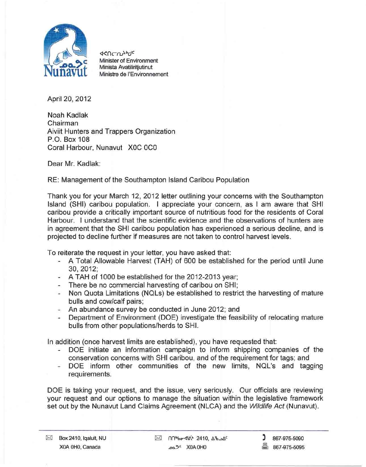

*<l<nc-n.~bdC* Minister of Environment Minista Avatiliritiutinut Ministre de l'Environnement

April 20, 2012

Noah Kadlak Chairman Aiviit Hunters and Trappers Organization P.O. Box 108 Coral Harbour, Nunavut XOC OCO

Dear Mr. Kadlak:

RE: Management of the Southampton Island Caribou Population

Thank you for your March 12, 2012 letter outlining your concerns with the Southampton Island (SHI) caribou population. I appreciate your concern, as I am aware that SHI caribou provide a critically important source of nutritious food for the residents of Coral Harbour. I understand that the scientific evidence and the observations of hunters are in agreement that the SHI caribou population has experienced a serious decline, and is projected to decline further if measures are not taken to control harvest levels.

To reiterate the request in your letter, you have asked that:

- A Total Allowable Harvest (TAH) of 600 be established for the period until June 30,2012;
- A TAH of 1000 be established for the 2012-2013 year;
- There be no commercial harvesting of caribou on SHI;
- Non Quota Limitations (NQls) be established to restrict the harvesting of mature bulls and cow/calf pairs;
- An abundance survey be conducted in June 2012; and
- Department of Environment (DOE) investigate the feasibility of relocating mature bulls from other populations/herds to SHI.

In addition (once harvest limits are established), you have requested that:

- DOE initiate an information campaign to inform shipping companies of the conservation concerns with SHI caribou, and of the requirement for tags; and
- DOE inform other communities of the new limits, NQL's and tagging requirements.

DOE is taking your request, and the issue, very seriously. Our officials are reviewing your request and our options to manage the situation within the legislative framework set out by the Nunavut land Claims Agreement (NLCA) and the *Wildlife Act* (Nunavut).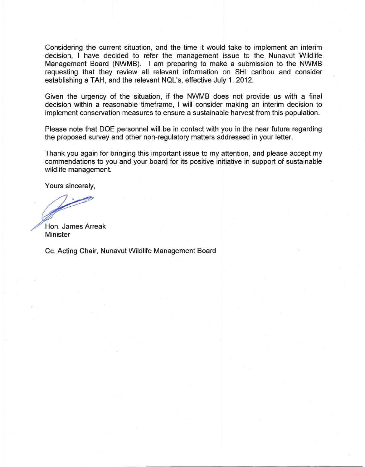Considering the current situation, and the time it would take to implement an interim decision, I have decided to refer the management issue to the Nunavut Wildlife Management Board (NWMB). I am preparing to make a submission to the NWMB requesting that they review all relevant information on SHI caribou and consider establishing a TAH, and the relevant NQL's, effective July 1, 2012.

Given the urgency of the situation, if the NWMB does not provide us with a final decision within a reasonable timeframe, I will consider making an interim decision to implement conservation measures to ensure a sustainable harvest from this population.

Please note that DOE personnel will be in contact with you in the near future regarding the proposed survey and other non-regulatory matters addressed in your letter.

Thank you again for bringing this important issue to my attention, and please accept my commendations to you and your board for its positive initiative in support of sustainable wildlife management.

Yours sincerely,

Hon. James Arreak Minister

Cc. Acting Chair, Nunavut Wildlife Management Board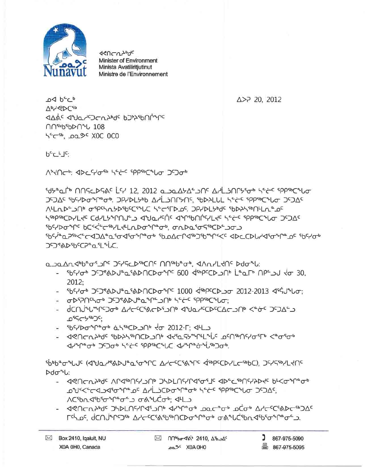- / ACSbn 45b50 °P 0 5 0 0 4°C 0 5; 4 LD - 497chth96 JSDLNYP45JN 410000 JOLC000 DCo0 AICC6ADC60JAC <u>Гफेट, dCNJACO& AdcSCASb&NCDoAP&ob o&AUCBndBoAP&oSJ.</u>
- ⊳ძთ<sup>≈</sup>ს: - 46UCVzp9c VL4tpUchPUp JPDFUchL4t0.7c 4DcCtpUchtD4c Pr<Qcbu0. ACC OPPOPOR SYSTEM ACCEPTED ACCEPTED ACCEPTED

5069076/06/2010/366/50976/2020/2020/2020/36994/2020/2020/2020

d/upedp JcJap KEC sppsbCuLC d/upeduisbJab.

- שפחרת אל יוטבאייטכל אין שלים קאייריני הכחייטרים ידי לייהים
- 964000000 65000000 00 2012-1: 44
- dCNJ&L@PSO& AACCC\$&CD\$JNB d&J&LCDCQCJCJNB <@&C JSJAS CascPaC:
- ה4לאחילה ארצים לאינוי לאירות הקליכי לאיירי
- $2012:$ - 56566 JS38AU9a5&DNCD09FC 1000 d5bPCD\_jor 2012-2013 d5gU9Uor;
- a Januarberi JC JC/SCDSOCUS UNSOPOR, ANNILLYNS Ddonl: . "PS-20" ADJ"&ADACDOM" 600 25PCCD ON LALF APSOU 20.

## JSCXADSbCPaal LUC.

idyacit nnscds&c LY 12, 2012 albaAbAsDns Arlinnyigt sets ippiterug JSJAC 5640000000. JP40Lybb AAL SAMYAS, SbDALUL KEES SPPSOCOLO JSJAC ЛЕПРСЭОР ФРФЛУРУЮССУНС УСТРОС ЭРГРЕУДС ГОРУЧУРИНИ ВОС *kebeCDYF4c C9\FA&UJA7 dAJT*+clc daliePUlckF4c *kef-c abbeCaP*Q JcJVc ჼb᠙ᢂᡋ᠊ᠰ᠌ᢩᡳ᠖᠐ᢗ<sup>ᠵ</sup>ᡬᢄ᠊ᠸ᠊<sup>ᢐ</sup>ᢣ᠘ᡪᡃᡃ᠘ᡘᡅ᠋ᡉ᠊ᠰ᠋ᡗ<sup>ᡆ</sup>ᡏᡃ᠂ᡕ᠗᠕ᠴ᠖ᠴᡉᠫ 565 - 5651° 5651° 5651° 5651° 5651° 5651° 5651° 5651° 5651° 5651° 5651° 5651° 5651° 5651° 57

A'KAC' שלאחרי איכר יף איכי מיי השיריינה

 $b^cL^cL^c$ 

ے⊲ 6'حه **VPSODCEP** SUPPLES AND SUPPLIES DAYS DUPLE **NU<sub>2PP2</sub>PDU** 108 5°C56, page XOC OCO

A>P 20, 2012



<u>ላሩሀር ሆ<sub>ንየ</sub>ባ<sub>ር</sub></u> Minister of Environment Minista Avatiliritiutinut Ministre de l'Environnement